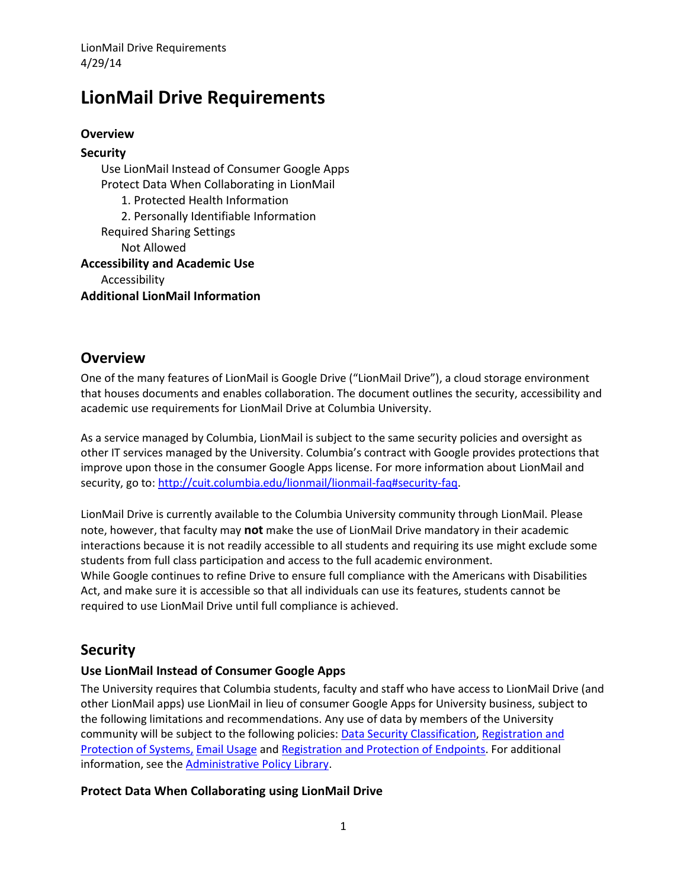# **LionMail Drive Requirements**

### **Overview**

**Security** Use LionMail Instead of Consumer Google Apps Protect Data When Collaborating in LionMail 1. Protected Health Information 2. Personally Identifiable Information Required Sharing Settings Not Allowed **Accessibility and Academic Use** Accessibility

**Additional LionMail Information**

### **Overview**

One of the many features of LionMail is Google Drive ("LionMail Drive"), a cloud storage environment that houses documents and enables collaboration. The document outlines the security, accessibility and academic use requirements for LionMail Drive at Columbia University.

As a service managed by Columbia, LionMail is subject to the same security policies and oversight as other IT services managed by the University. Columbia's contract with Google provides protections that improve upon those in the consumer Google Apps license. For more information about LionMail and security, go to: [http://cuit.columbia.edu/lionmail/lionmail-faq#security-faq.](http://cuit.columbia.edu/lionmail/lionmail-faq#security-faq)

LionMail Drive is currently available to the Columbia University community through LionMail. Please note, however, that faculty may **not** make the use of LionMail Drive mandatory in their academic interactions because it is not readily accessible to all students and requiring its use might exclude some students from full class participation and access to the full academic environment. While Google continues to refine Drive to ensure full compliance with the Americans with Disabilities Act, and make sure it is accessible so that all individuals can use its features, students cannot be required to use LionMail Drive until full compliance is achieved.

# **Security**

### **Use LionMail Instead of Consumer Google Apps**

The University requires that Columbia students, faculty and staff who have access to LionMail Drive (and other LionMail apps) use LionMail in lieu of consumer Google Apps for University business, subject to the following limitations and recommendations. Any use of data by members of the University community will be subject to the following policies: [Data Security Classification,](http://policylibrary.columbia.edu/data-classification-policy) Registration and [Protection of Systems,](http://policylibrary.columbia.edu/registration-and-protection-systems-policy) [Email Usage](http://policylibrary.columbia.edu/email-usage-policy-1) and [Registration and Protection of Endpoints.](http://policylibrary.columbia.edu/registration-and-protection-endpoints-policy) For additional information, see the **Administrative Policy Library**.

### **Protect Data When Collaborating using LionMail Drive**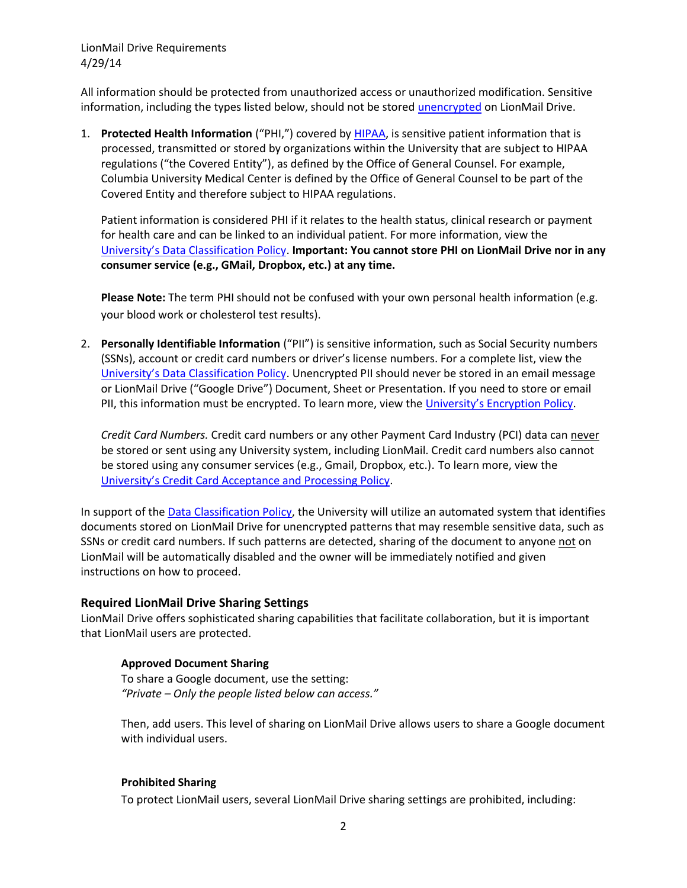LionMail Drive Requirements 4/29/14

All information should be protected from unauthorized access or unauthorized modification. Sensitive information, including the types listed below, should not be stored [unencrypted](https://cuit.columbia.edu/it-security-resources/handling-personally-identifying-information/encryption-tools/encryption-tools-file-encryption) on LionMail Drive.

1. **Protected Health Information** ("PHI,") covered b[y HIPAA,](http://en.wikipedia.org/wiki/Health_Insurance_Portability_and_Accountability_Act) is sensitive patient information that is processed, transmitted or stored by organizations within the University that are subject to HIPAA regulations ("the Covered Entity"), as defined by the Office of General Counsel. For example, Columbia University Medical Center is defined by the Office of General Counsel to be part of the Covered Entity and therefore subject to HIPAA regulations.

Patient information is considered PHI if it relates to the health status, clinical research or payment for health care and can be linked to an individual patient. For more information, view the U[niversity's Data Classification Policy](http://policylibrary.columbia.edu/data-classification-policy). **Important: You cannot store PHI on LionMail Drive nor in any consumer service (e.g., GMail, Dropbox, etc.) at any time.**

**Please Note:** The term PHI should not be confused with your own personal health information (e.g. your blood work or cholesterol test results).

2. **Personally Identifiable Information** ("PII") is sensitive information, such as Social Security numbers (SSNs), account or credit card numbers or driver's license numbers. For a complete list, view the [University's Data Classification Policy](http://policylibrary.columbia.edu/data-classification-policy). Unencrypted PII should never be stored in an email message or LionMail Drive ("Google Drive") Document, Sheet or Presentation. If you need to store or email PII, this information must be encrypted. To learn more, view the [University's Encryption Policy](http://policylibrary.columbia.edu/registration-and-protection-endpoints-policy).

*Credit Card Numbers.* Credit card numbers or any other Payment Card Industry (PCI) data can never be stored or sent using any University system, including LionMail. Credit card numbers also cannot be stored using any consumer services (e.g., Gmail, Dropbox, etc.). To learn more, view the [University's Credit Card Acceptance and Processing Policy](http://policylibrary.columbia.edu/credit-card-acceptance-and-processing-policy).

In support of th[e Data Classification Policy,](http://policylibrary.columbia.edu/data-classification-policy) the University will utilize an automated system that identifies documents stored on LionMail Drive for unencrypted patterns that may resemble sensitive data, such as SSNs or credit card numbers. If such patterns are detected, sharing of the document to anyone not on LionMail will be automatically disabled and the owner will be immediately notified and given instructions on how to proceed.

#### **Required LionMail Drive Sharing Settings**

LionMail Drive offers sophisticated sharing capabilities that facilitate collaboration, but it is important that LionMail users are protected.

#### **Approved Document Sharing**

To share a Google document, use the setting: *"Private – Only the people listed below can access."* 

Then, add users. This level of sharing on LionMail Drive allows users to share a Google document with individual users.

#### **Prohibited Sharing**

To protect LionMail users, several LionMail Drive sharing settings are prohibited, including: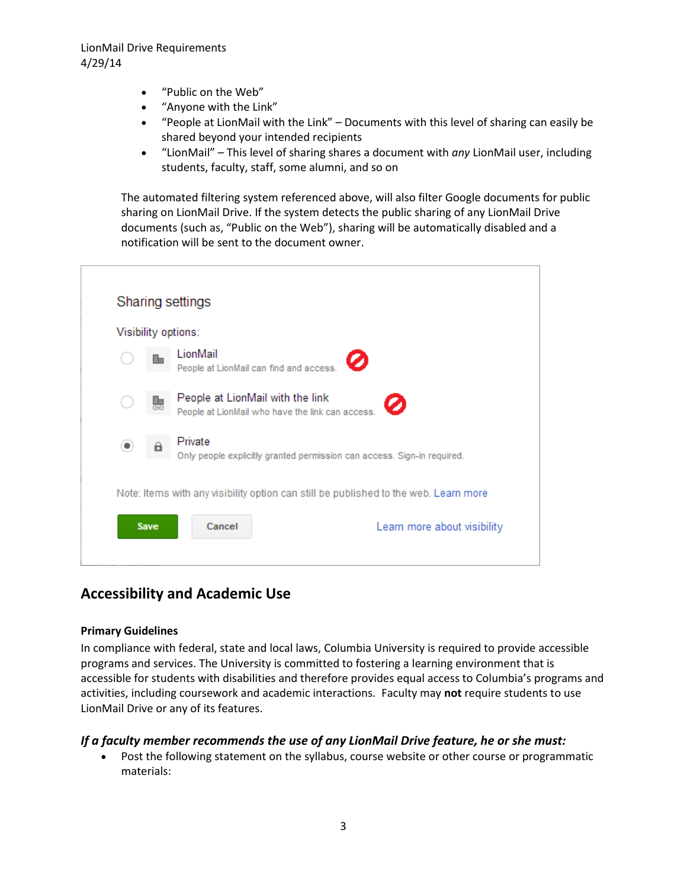LionMail Drive Requirements 4/29/14

- "Public on the Web"
- "Anyone with the Link"
- "People at LionMail with the Link" Documents with this level of sharing can easily be shared beyond your intended recipients
- "LionMail" This level of sharing shares a document with *any* LionMail user, including students, faculty, staff, some alumni, and so on

The automated filtering system referenced above, will also filter Google documents for public sharing on LionMail Drive. If the system detects the public sharing of any LionMail Drive documents (such as, "Public on the Web"), sharing will be automatically disabled and a notification will be sent to the document owner.

|             | Sharing settings<br>Visibility options:                                                   |
|-------------|-------------------------------------------------------------------------------------------|
|             | LionMail<br>Ø<br>People at LionMail can find and access.                                  |
|             | People at LionMail with the link<br>Ø<br>People at LionMail who have the link can access. |
| a           | Private<br>Only people explicitly granted permission can access. Sign-in required.        |
|             | Note: Items with any visibility option can still be published to the web. Learn more      |
| <b>Save</b> | Cancel<br>Learn more about visibility                                                     |

# **Accessibility and Academic Use**

#### **Primary Guidelines**

In compliance with federal, state and local laws, Columbia University is required to provide accessible programs and services. The University is committed to fostering a learning environment that is accessible for students with disabilities and therefore provides equal access to Columbia's programs and activities, including coursework and academic interactions. Faculty may **not** require students to use LionMail Drive or any of its features.

#### *If a faculty member recommends the use of any LionMail Drive feature, he or she must:*

 Post the following statement on the syllabus, course website or other course or programmatic materials: